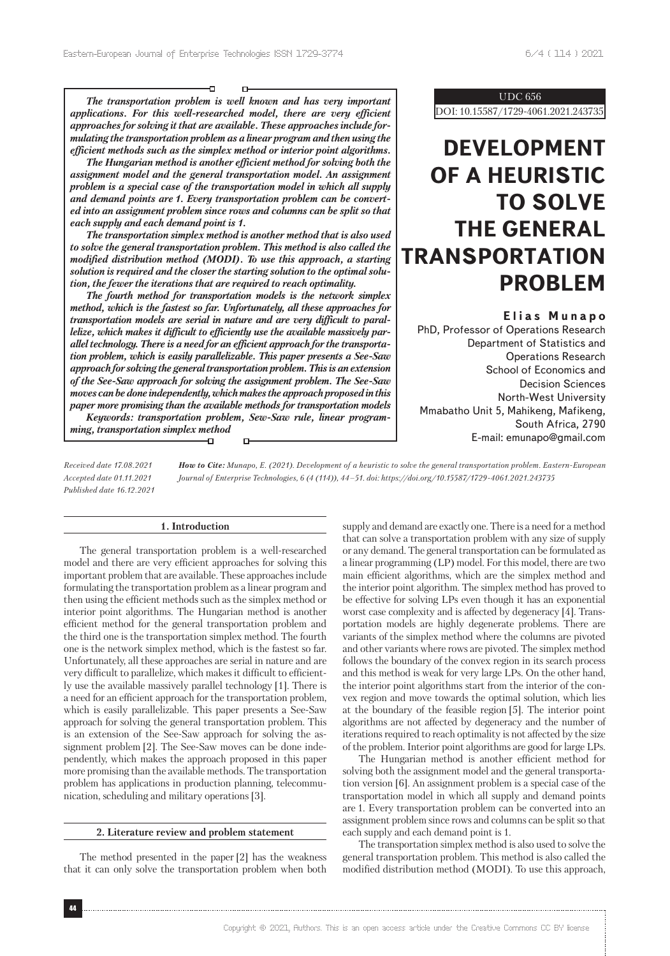-Π

*The transportation problem is well known and has very important applications. For this well-researched model, there are very efficient approaches for solving it that are available. These approaches include formulating the transportation problem as a linear program and then using the efficient methods such as the simplex method or interior point algorithms.*

D-

*The Hungarian method is another efficient method for solving both the assignment model and the general transportation model. An assignment problem is a special case of the transportation model in which all supply and demand points are 1. Every transportation problem can be converted into an assignment problem since rows and columns can be split so that each supply and each demand point is 1.*

*The transportation simplex method is another method that is also used to solve the general transportation problem. This method is also called the modified distribution method (MODI). To use this approach, a starting solution is required and the closer the starting solution to the optimal solution, the fewer the iterations that are required to reach optimality.*

*The fourth method for transportation models is the network simplex method, which is the fastest so far. Unfortunately, all these approaches for transportation models are serial in nature and are very difficult to parallelize, which makes it difficult to efficiently use the available massively parallel technology. There is a need for an efficient approach for the transportation problem, which is easily parallelizable. This paper presents a See-Saw approach for solving the general transportation problem. This is an extension of the See-Saw approach for solving the assignment problem. The See-Saw moves can be done independently, which makes the approach proposed in this paper more promising than the available methods for transportation models Keywords: transportation problem, Sew-Saw rule, linear programming, transportation simplex method*

n,

UDC 656

DOI: 10.15587/1729-4061.2021.243735

# **DEVELOPMENT OF A HEURISTIC TO SOLVE THE GENERAL TRANSPORTATION PROBLEM**

# **Elias Munapo**

PhD, Professor of Operations Research Department of Statistics and Operations Research School of Economics and Decision Sciences North-West University Mmabatho Unit 5, Mahikeng, Mafikeng, South Africa, 2790 E-mail: emunapo@gmail.com

*Received date 17.08.2021 Accepted date 01.11.2021 Published date 16.12.2021*

*How to Cite: Munapo, E. (2021). Development of a heuristic to solve the general transportation problem. Eastern-European Journal of Enterprise Technologies, 6 (4 (114)), 44–51. doi: https://doi.org/10.15587/1729-4061.2021.243735*

# **1. Introduction**

The general transportation problem is a well-researched model and there are very efficient approaches for solving this important problem that are available. These approaches include formulating the transportation problem as a linear program and then using the efficient methods such as the simplex method or interior point algorithms. The Hungarian method is another efficient method for the general transportation problem and the third one is the transportation simplex method. The fourth one is the network simplex method, which is the fastest so far. Unfortunately, all these approaches are serial in nature and are very difficult to parallelize, which makes it difficult to efficiently use the available massively parallel technology [1]. There is a need for an efficient approach for the transportation problem, which is easily parallelizable. This paper presents a See-Saw approach for solving the general transportation problem. This is an extension of the See-Saw approach for solving the assignment problem [2]. The See-Saw moves can be done independently, which makes the approach proposed in this paper more promising than the available methods. The transportation problem has applications in production planning, telecommunication, scheduling and military operations [3].

# **2. Literature review and problem statement**

The method presented in the paper[2] has the weakness that it can only solve the transportation problem when both supply and demand are exactly one. There is a need for a method that can solve a transportation problem with any size of supply or any demand. The general transportation can be formulated as a linear programming (LP) model. For this model, there are two main efficient algorithms, which are the simplex method and the interior point algorithm. The simplex method has proved to be effective for solving LPs even though it has an exponential worst case complexity and is affected by degeneracy [4]. Transportation models are highly degenerate problems. There are variants of the simplex method where the columns are pivoted and other variants where rows are pivoted. The simplex method follows the boundary of the convex region in its search process and this method is weak for very large LPs. On the other hand, the interior point algorithms start from the interior of the convex region and move towards the optimal solution, which lies at the boundary of the feasible region [5]. The interior point algorithms are not affected by degeneracy and the number of iterations required to reach optimality is not affected by the size of the problem. Interior point algorithms are good for large LPs.

The Hungarian method is another efficient method for solving both the assignment model and the general transportation version [6]. An assignment problem is a special case of the transportation model in which all supply and demand points are 1. Every transportation problem can be converted into an assignment problem since rows and columns can be split so that each supply and each demand point is 1.

The transportation simplex method is also used to solve the general transportation problem. This method is also called the modified distribution method (MODI). To use this approach,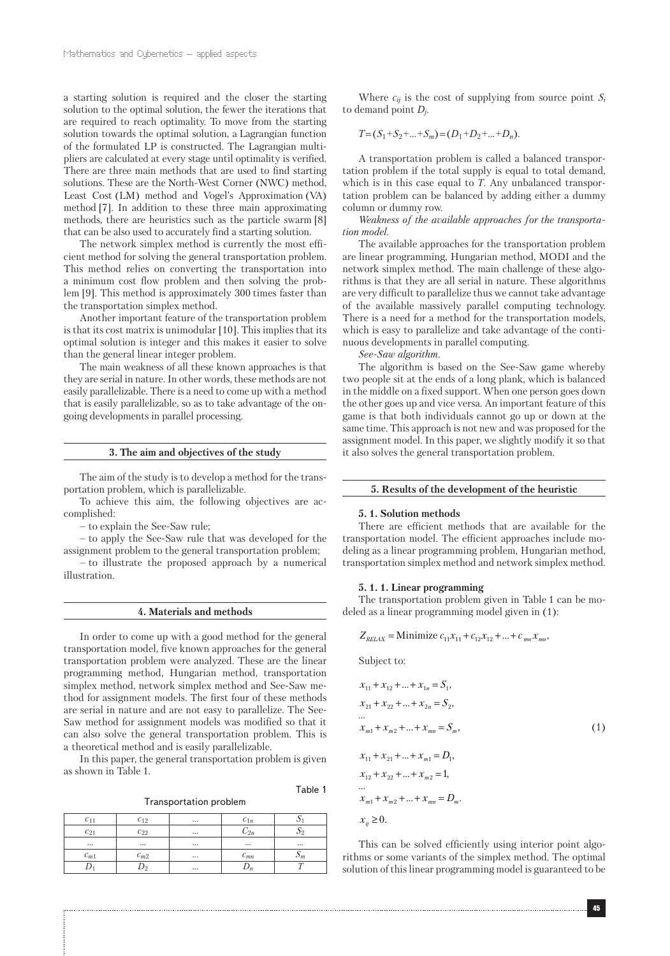a starting solution is required and the closer the starting solution to the optimal solution, the fewer the iterations that are required to reach optimality. To move from the starting solution towards the optimal solution, a Lagrangian function of the formulated LP is constructed. The Lagrangian multipliers are calculated at every stage until optimality is verified. There are three main methods that are used to find starting solutions. These are the North-West Corner (NWC) method, Least Cost (LM) method and Vogel's Approximation (VA) method [7]. In addition to these three main approximating methods, there are heuristics such as the particle swarm [8] that can be also used to accurately find a starting solution.

The network simplex method is currently the most efficient method for solving the general transportation problem. This method relies on converting the transportation into a minimum cost flow problem and then solving the problem [9]. This method is approximately 300 times faster than the transportation simplex method.

Another important feature of the transportation problem is that its cost matrix is unimodular [10]. This implies that its optimal solution is integer and this makes it easier to solve than the general linear integer problem.

The main weakness of all these known approaches is that they are serial in nature. In other words, these methods are not easily parallelizable. There is a need to come up with a method that is easily parallelizable, so as to take advantage of the ongoing developments in parallel processing.

#### **3. The aim and objectives of the study**

The aim of the study is to develop a method for the transportation problem, which is parallelizable.

To achieve this aim, the following objectives are accomplished:

– to explain the See-Saw rule;

– to apply the See-Saw rule that was developed for the assignment problem to the general transportation problem;

– to illustrate the proposed approach by a numerical illustration.

#### **4. Materials and methods**

In order to come up with a good method for the general transportation model, five known approaches for the general transportation problem were analyzed. These are the linear programming method, Hungarian method, transportation simplex method, network simplex method and See-Saw method for assignment models. The first four of these methods are serial in nature and are not easy to parallelize. The See-Saw method for assignment models was modified so that it can also solve the general transportation problem. This is a theoretical method and is easily parallelizable.

In this paper, the general transportation problem is given as shown in Table 1.

Table 1

| $\mathcal{C}$ . | C <sub>19</sub> | $\cdots$ | $c_{1n}$     | ۰.       |
|-----------------|-----------------|----------|--------------|----------|
| $c_{21}$        | $c_{22}$        | $\cdots$ |              |          |
| $\cdots$        | $\cdots$        | $\cdots$ | $\cdots$     | $\cdots$ |
| $c_{m1}$        | $c_{m2}$        | $\cdots$ | $\iota_{mn}$ | m        |
|                 |                 | $\cdots$ |              |          |

Where  $c_{ij}$  is the cost of supplying from source point  $S_i$ to demand point *Dj*.

$$
T = (S_1 + S_2 + \dots + S_m) = (D_1 + D_2 + \dots + D_n).
$$

A transportation problem is called a balanced transportation problem if the total supply is equal to total demand, which is in this case equal to *T*. Any unbalanced transportation problem can be balanced by adding either a dummy column or dummy row.

*Weakness of the available approaches for the transportation model.*

The available approaches for the transportation problem are linear programming, Hungarian method, MODI and the network simplex method. The main challenge of these algorithms is that they are all serial in nature. These algorithms are very difficult to parallelize thus we cannot take advantage of the available massively parallel computing technology. There is a need for a method for the transportation models, which is easy to parallelize and take advantage of the continuous developments in parallel computing.

*See-Saw algorithm.*

The algorithm is based on the See-Saw game whereby two people sit at the ends of a long plank, which is balanced in the middle on a fixed support. When one person goes down the other goes up and vice versa. An important feature of this game is that both individuals cannot go up or down at the same time. This approach is not new and was proposed for the assignment model. In this paper, we slightly modify it so that it also solves the general transportation problem.

# **5. Results of the development of the heuristic**

#### **5. 1. Solution methods**

There are efficient methods that are available for the transportation model. The efficient approaches include modeling as a linear programming problem, Hungarian method, transportation simplex method and network simplex method.

#### **5. 1. 1. Linear programming**

The transportation problem given in Table 1 can be modeled as a linear programming model given in (1):

 $Z_{RELAX} =$ Minimize  $c_{11}x_{11} + c_{12}x_{12} + ... + c_{mn}x_{mn}$ .

Subject to:

$$
x_{11} + x_{12} + ... + x_{1n} = S_1,
$$
  
\n
$$
x_{21} + x_{22} + ... + x_{2n} = S_2,
$$
  
\n...  
\n
$$
x_{m1} + x_{m2} + ... + x_{mn} = S_m,
$$
  
\n
$$
x_{11} + x_{21} + ... + x_{m1} = D_1,
$$
  
\n
$$
x_{12} + x_{22} + ... + x_{m2} = 1,
$$
  
\n...  
\n
$$
x_{m1} + x_{m2} + ... + x_{mn} = D_m.
$$
  
\n
$$
x_{ij} \ge 0.
$$
  
\n(1)

This can be solved efficiently using interior point algorithms or some variants of the simplex method. The optimal solution of this linear programming model is guaranteed to be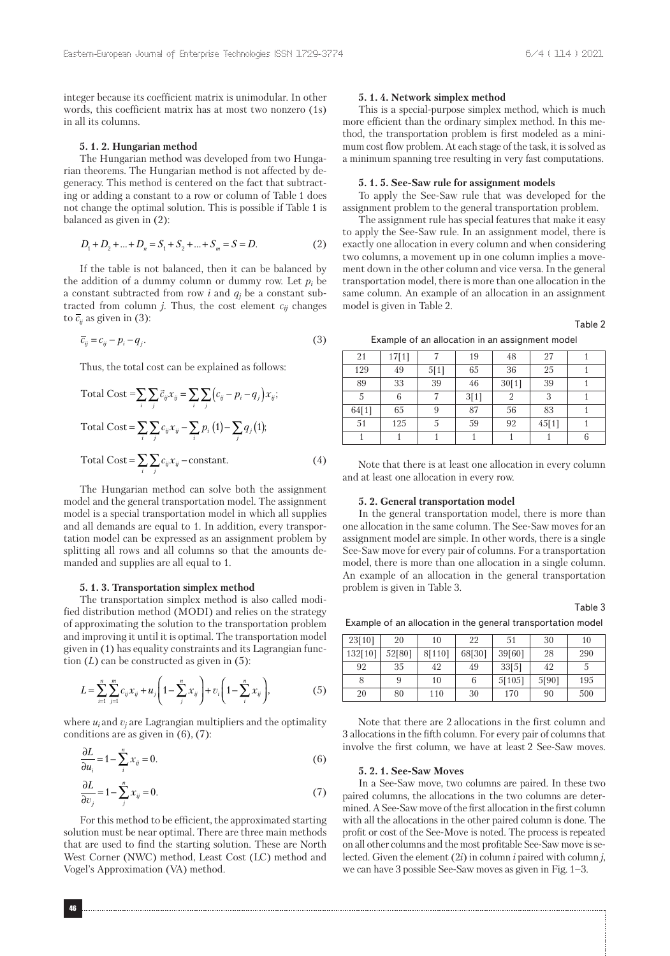integer because its coefficient matrix is unimodular. In other words, this coefficient matrix has at most two nonzero (1s) in all its columns.

### **5. 1. 2. Hungarian method**

The Hungarian method was developed from two Hungarian theorems. The Hungarian method is not affected by degeneracy. This method is centered on the fact that subtracting or adding a constant to a row or column of Table 1 does not change the optimal solution. This is possible if Table 1 is balanced as given in (2):

$$
D_1 + D_2 + \dots + D_n = S_1 + S_2 + \dots + S_m = S = D. \tag{2}
$$

If the table is not balanced, then it can be balanced by the addition of a dummy column or dummy row. Let  $p_i$  be a constant subtracted from row  $i$  and  $q_j$  be a constant subtracted from column  $j$ . Thus, the cost element  $c_{ij}$  changes to  $\overline{c}_i$  as given in (3):

$$
\overline{c}_{ij} = c_{ij} - p_i - q_j. \tag{3}
$$

Thus, the total cost can be explained as follows:

Total Cost = 
$$
\sum_{i} \sum_{j} \vec{c}_{ij} x_{ij} = \sum_{i} \sum_{j} (c_{ij} - p_i - q_j) x_{ij};
$$
  
Total Cost =  $\sum_{i} \sum_{j} c_{ij} x_{ij} - \sum_{i} p_i (1) - \sum_{j} q_j (1);$   
Total Cost =  $\sum_{i} \sum_{j} c_{ij} x_{ij} - \text{constant}.$  (4)

The Hungarian method can solve both the assignment model and the general transportation model. The assignment model is a special transportation model in which all supplies and all demands are equal to 1. In addition, every transportation model can be expressed as an assignment problem by splitting all rows and all columns so that the amounts demanded and supplies are all equal to 1.

# **5. 1. 3. Transportation simplex method**

The transportation simplex method is also called modified distribution method (MODI) and relies on the strategy of approximating the solution to the transportation problem and improving it until it is optimal. The transportation model given in (1) has equality constraints and its Lagrangian function  $(L)$  can be constructed as given in  $(5)$ :

$$
L = \sum_{i=1}^{n} \sum_{j=1}^{m} c_{ij} x_{ij} + u_j \left( 1 - \sum_{j}^{n} x_{ij} \right) + v_i \left( 1 - \sum_{i}^{n} x_{ij} \right),
$$
 (5)

where  $u_i$  and  $v_j$  are Lagrangian multipliers and the optimality conditions are as given in (6), (7):

$$
\frac{\partial L}{\partial u_i} = 1 - \sum_{i}^{n} x_{ij} = 0.
$$
\n<sup>(6)</sup>

$$
\frac{\partial L}{\partial v_j} = 1 - \sum_{j}^{n} x_{ij} = 0.
$$
 (7)

For this method to be efficient, the approximated starting solution must be near optimal. There are three main methods that are used to find the starting solution. These are North West Corner (NWC) method, Least Cost (LC) method and Vogel's Approximation (VA) method.

#### **5. 1. 4. Network simplex method**

This is a special-purpose simplex method, which is much more efficient than the ordinary simplex method. In this method, the transportation problem is first modeled as a minimum cost flow problem. At each stage of the task, it is solved as a minimum spanning tree resulting in very fast computations.

#### **5. 1. 5. See-Saw rule for assignment models**

To apply the See-Saw rule that was developed for the assignment problem to the general transportation problem.

The assignment rule has special features that make it easy to apply the See-Saw rule. In an assignment model, there is exactly one allocation in every column and when considering two columns, a movement up in one column implies a movement down in the other column and vice versa. In the general transportation model, there is more than one allocation in the same column. An example of an allocation in an assignment model is given in Table 2.

Table 2

Example of an allocation in an assignment model

| 21    | 17[1] |      | 19   | 48    | 27    |  |
|-------|-------|------|------|-------|-------|--|
| 129   | 49    | 5[1] | 65   | 36    | 25    |  |
| 89    | 33    | 39   | 46   | 30[1] | 39    |  |
| 5     | 6     |      | 3[1] | 2     | 3     |  |
| 64[1] | 65    | 9    | 87   | 56    | 83    |  |
| 51    | 125   | 5    | 59   | 92    | 45[1] |  |
|       |       |      |      |       |       |  |

Note that there is at least one allocation in every column and at least one allocation in every row.

# **5. 2. General transportation model**

In the general transportation model, there is more than one allocation in the same column. The See-Saw moves for an assignment model are simple. In other words, there is a single See-Saw move for every pair of columns. For a transportation model, there is more than one allocation in a single column. An example of an allocation in the general transportation problem is given in Table 3.

Table 3

Example of an allocation in the general transportation model

| 23[10]  | 20     | 10     | 22     | 51     | 30    | 10  |
|---------|--------|--------|--------|--------|-------|-----|
| 132[10] | 52[80] | 8[110] | 68[30] | 39[60] | 28    | 290 |
| 92      | 35     | 42     | 49     | 33[5]  | 42    | 5   |
|         | 9      | 10     |        | 5[105] | 5[90] | 195 |
| 20      | 80     | 110    | 30     | 170    | 90    | 500 |

Note that there are 2 allocations in the first column and 3 allocations in the fifth column. For every pair of columns that involve the first column, we have at least 2 See-Saw moves.

#### **5. 2. 1. See-Saw Moves**

In a See-Saw move, two columns are paired. In these two paired columns, the allocations in the two columns are determined. A See-Saw move of the first allocation in the first column with all the allocations in the other paired column is done. The profit or cost of the See-Move is noted. The process is repeated on all other columns and the most profitable See-Saw move is selected. Given the element (2*i*) in column *i* paired with column *j*, we can have 3 possible See-Saw moves as given in Fig. 1–3.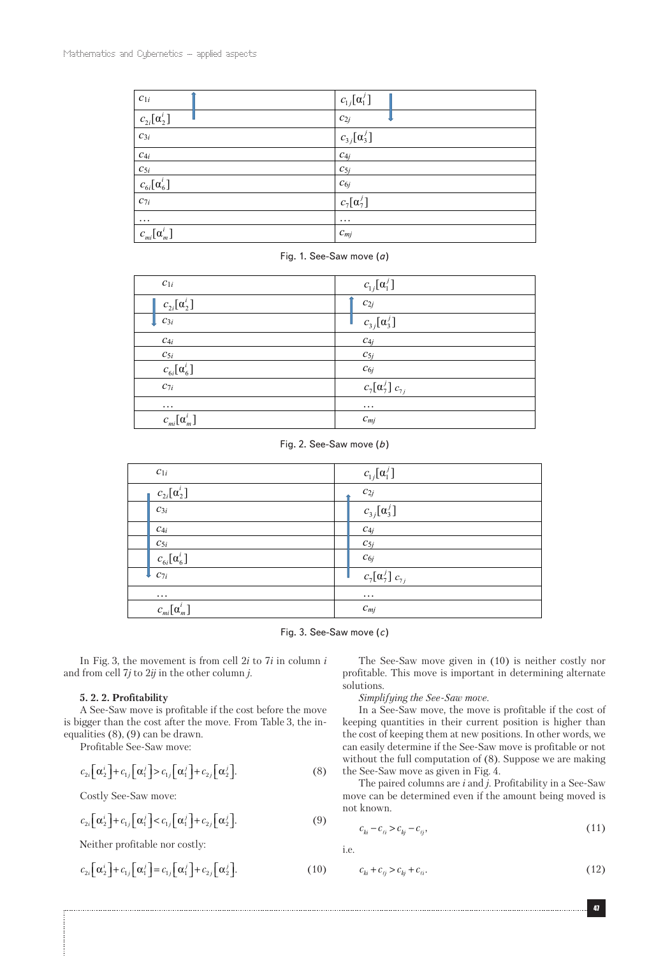| $\boldsymbol{c}_{1i}$                                                                                        | $c_{1j}[\alpha_1^j]$ |
|--------------------------------------------------------------------------------------------------------------|----------------------|
| $\frac{c_{2i}[\alpha_2^i]}{c_{3i}}$                                                                          | $c_{2j}$             |
|                                                                                                              | $c_{3j}[\alpha_3^j]$ |
|                                                                                                              | $C_{4j}$             |
|                                                                                                              | $c_{5j}$             |
| $\begin{array}{ c } \hline c_{4i}\ \hline c_{5i}\ \hline c_{6i}[\alpha_{6}^{i}] \ \hline c_{7i} \end{array}$ | $\mathcal{C}_{6j}$   |
|                                                                                                              | $c_7[\alpha_7^j]$    |
| $\cdots$                                                                                                     | $\cdots$             |
| $c_{mi}[\alpha_m^i]$                                                                                         | $c_{mj}$             |

Fig. 1. See-Saw move (*a*)

| $c_{1i}$                  | $c_{1j}[\alpha_1^j]$                             |
|---------------------------|--------------------------------------------------|
| $c_{2i}[\alpha_2^i]$      | $\mathcal{C}_{2j}$                               |
| $\left  \right $ $c_{3i}$ | $c_{3j}[\alpha_3^j]$                             |
| $c_{4i}$                  | $C_{4j}$                                         |
| $\boldsymbol{c}_{5i}$     | $c_{5j}$                                         |
| $c_{6i}[\alpha_6^i]$      | $c_{6j}$                                         |
| $c_{7i}$                  | $c_7[\alpha_7^j]$ <sub><math>c_{7j}</math></sub> |
| $\cdots$                  | $\cdots$                                         |
| $c_{mi}[\alpha_m^i]$      | $c_{mj}$                                         |

Fig. 2. See-Saw move (*b*)

| $c_{1i}$                                                       | $c_{1j}[\alpha_1^j]$                  |
|----------------------------------------------------------------|---------------------------------------|
| $c_{2i}[\alpha_2^i]$                                           | $\boldsymbol{c}_{2j}$                 |
| $c_{3i}$                                                       | $c_{3j}[\alpha_3^j]$                  |
| $c_{4i}$                                                       | $c_{4j}$                              |
|                                                                | $c_{5j}$                              |
| $\frac{c_{5i}}{\sqrt{\frac{c_{6i}[\alpha _{6}^{i}]}{c_{7i}}}}$ | $\mathcal{C}_{6j}$                    |
|                                                                | $\overline{c_7[\alpha_7^j]}$ $c_{7j}$ |
| $\cdots$                                                       | $\cdots$                              |
| $c_{mi}[\alpha_m^i]$                                           | $c_{mj}$                              |

Fig. 3. See-Saw move (*c*)

In Fig. 3, the movement is from cell 2*i* to 7*i* in column *i* and from cell 7*j* to 2*ij* in the other column *j*.

#### **5. 2. 2. Profitability**

A See-Saw move is profitable if the cost before the move is bigger than the cost after the move. From Table 3, the inequalities (8), (9) can be drawn.

Profitable See-Saw move:

$$
c_{2i}\left[\alpha_{2}^{i}\right]+c_{1j}\left[\alpha_{1}^{j}\right]>c_{1j}\left[\alpha_{1}^{j}\right]+c_{2j}\left[\alpha_{2}^{j}\right].
$$
\n(8)

Costly See-Saw move:

$$
c_{2i}\big[\alpha_2^i\big]+c_{1j}\big[\alpha_1^j\big]\n(9)
$$

Neither profitable nor costly:

$$
c_{2i}\left[\alpha_2^i\right]+c_{1j}\left[\alpha_1^j\right]=c_{1j}\left[\alpha_1^j\right]+c_{2j}\left[\alpha_2^j\right].
$$
\n(10)

The See-Saw move given in (10) is neither costly nor profitable. This move is important in determining alternate solutions.

*Simplifying the See-Saw move.*

In a See-Saw move, the move is profitable if the cost of keeping quantities in their current position is higher than the cost of keeping them at new positions. In other words, we can easily determine if the See-Saw move is profitable or not without the full computation of (8). Suppose we are making the See-Saw move as given in Fig. 4.

The paired columns are *i* and *j*. Profitability in a See-Saw move can be determined even if the amount being moved is not known.

$$
c_{ki} - c_{\ell i} > c_{kj} - c_{\ell j},\tag{11}
$$

i.e.

$$
c_{ki} + c_{ij} > c_{kj} + c_{\ell i}.\tag{12}
$$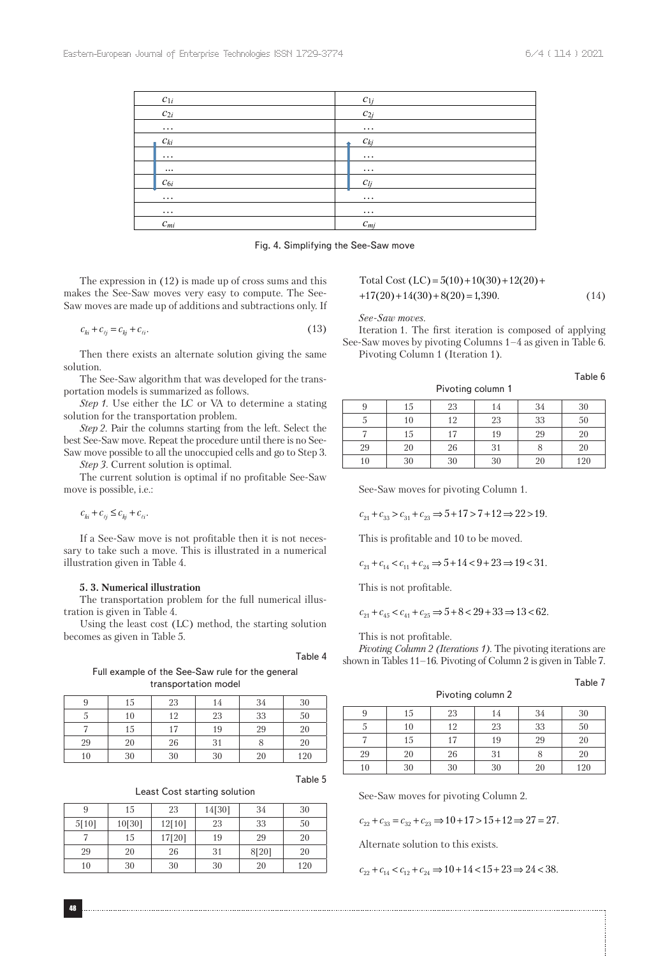| $c_{1i}$ | $c_{1i}$ |
|----------|----------|
| $c_{2i}$ | $c_{2i}$ |
| $\cdots$ | $\cdots$ |
| $c_{ki}$ | $c_{kj}$ |
| $\cdots$ | $\cdots$ |
| $\cdots$ | $\cdots$ |
| $c_{6i}$ | $c_{li}$ |
| $\cdots$ | $\cdots$ |
| $\cdots$ | $\cdots$ |
| $c_{mi}$ | $c_{mj}$ |

Fig. 4. Simplifying the See-Saw move

The expression in (12) is made up of cross sums and this makes the See-Saw moves very easy to compute. The See-Saw moves are made up of additions and subtractions only. If

$$
c_{ki} + c_{ij} = c_{kj} + c_{\ell i}.
$$
 (13)

Then there exists an alternate solution giving the same solution.

The See-Saw algorithm that was developed for the transportation models is summarized as follows.

*Step 1.* Use either the LC or VA to determine a stating solution for the transportation problem.

*Step 2.* Pair the columns starting from the left. Select the best See-Saw move. Repeat the procedure until there is no See-Saw move possible to all the unoccupied cells and go to Step 3.

*Step 3.* Current solution is optimal.

The current solution is optimal if no profitable See-Saw move is possible, i.e.:

 $c_{ki} + c_{\ell i} \leq c_{kj} + c_{\ell i}.$ 

If a See-Saw move is not profitable then it is not necessary to take such a move. This is illustrated in a numerical illustration given in Table 4.

## **5. 3. Numerical illustration**

The transportation problem for the full numerical illustration is given in Table 4.

Using the least cost (LC) method, the starting solution becomes as given in Table 5.

Table 4

Full example of the See-Saw rule for the general transportation model

|    | 15 | 23 | 14 | 34 | 30  |
|----|----|----|----|----|-----|
| J  | 10 | 12 | 23 | 33 | 50  |
|    | 15 | 17 | 19 | 29 | 20  |
| 29 | 20 | 26 | 31 |    | 20  |
| 10 | 30 | 30 | 30 | 20 | 120 |

Table 5

| Least Cost starting solution |  |  |
|------------------------------|--|--|
|------------------------------|--|--|

|       | 15     | 23     | 14[30] | 34    | 30  |
|-------|--------|--------|--------|-------|-----|
| 5[10] | 10[30] | 12[10] | 23     | 33    | 50  |
|       | 15     | 17[20] | 19     | 29    | 20  |
| 29    | 20     | 26     | 31     | 8[20] | 20  |
| 10    | 30     | 30     | 30     | 20    | 120 |

Total Cost  $(LC) = 5(10) + 10(30) + 12(20) +$  $+17(20) + 14(30) + 8(20) = 1,390.$  (14)

*See-Saw moves.*

Iteration 1. The first iteration is composed of applying See-Saw moves by pivoting Columns 1–4 as given in Table 6. Pivoting Column 1 (Iteration 1).

Table 6

Table 7

| q  | 15 | 23 | 14 | 34     | 30     |
|----|----|----|----|--------|--------|
| 5  | 10 | 12 | 23 | $33\,$ | $50\,$ |
|    | 15 | 17 | 19 | 29     | 20     |
| 29 | 20 | 26 |    |        | 20     |
| 10 | 30 | 30 | 30 | 20     | 120    |

Pivoting column 1

See-Saw moves for pivoting Column 1.

 $c_{21} + c_{33} > c_{31} + c_{23} \Rightarrow 5 + 17 > 7 + 12 \Rightarrow 22 > 19.$ 

This is profitable and 10 to be moved.

 $c_{21} + c_{14} < c_{11} + c_{24} \Rightarrow 5 + 14 < 9 + 23 \Rightarrow 19 < 31.$ 

This is not profitable.

 $c_{21} + c_{45} < c_{41} + c_{25} \Rightarrow 5 + 8 < 29 + 33 \Rightarrow 13 < 62.$ 

This is not profitable.

*Pivoting Column 2 (Iterations 1).* The pivoting iterations are shown in Tables 11–16. Pivoting of Column 2 is given in Table 7.

Pivoting column 2

| 9  | 15 | 23 | 14 | 34 | 30  |
|----|----|----|----|----|-----|
|    | 10 | 12 | 23 | 33 | 50  |
|    | 15 | 17 | 19 | 29 | 20  |
| 29 | 20 | 26 | 31 |    | 20  |
| 10 | 30 | 30 | 30 | 20 | 120 |

See-Saw moves for pivoting Column 2.

 $c_{22} + c_{33} = c_{32} + c_{23} \Rightarrow 10 + 17 > 15 + 12 \Rightarrow 27 = 27.$ 

Alternate solution to this exists.

 $c_{22} + c_{14} < c_{12} + c_{24} \Rightarrow 10 + 14 < 15 + 23 \Rightarrow 24 < 38.$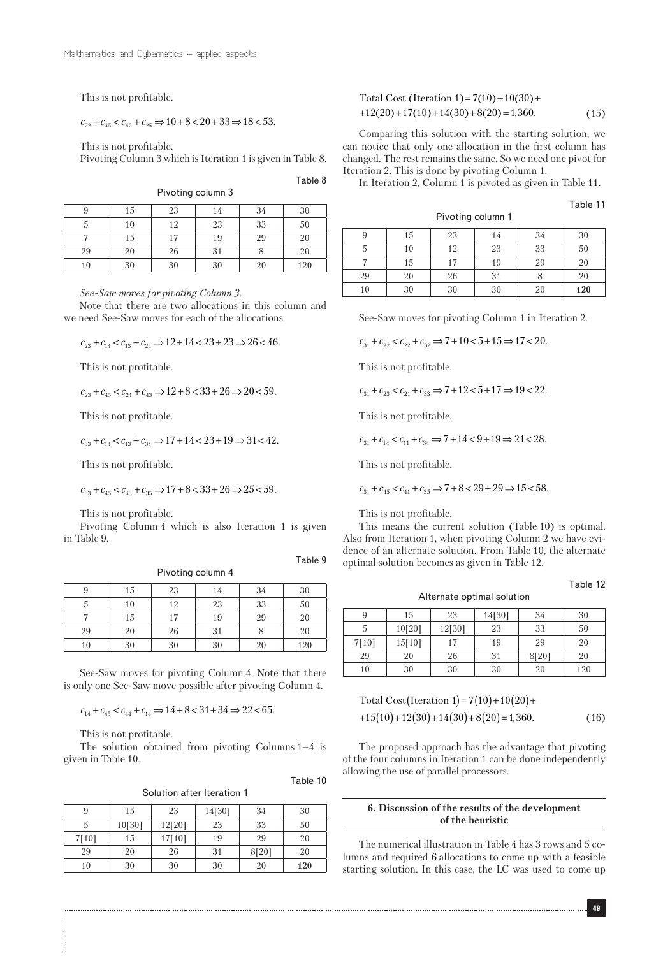This is not profitable.

 $c_{22} + c_{45} < c_{42} + c_{25} \Rightarrow 10 + 8 < 20 + 33 \Rightarrow 18 < 53.$ 

This is not profitable.

Pivoting Column 3 which is Iteration 1 is given in Table 8.

Table 8

Table 9

Table 10

| Pivoting column 3 |    |    |    |    |     |  |
|-------------------|----|----|----|----|-----|--|
|                   | 15 | 23 | 14 |    | 30  |  |
|                   |    | 12 | 23 | 33 | 50  |  |
|                   | 15 |    | 19 | 29 | 20  |  |
| 29                | 20 | 26 |    |    | 20  |  |
| 10                | 30 | 30 | 30 |    | 120 |  |

*See-Saw moves for pivoting Column 3.*

Note that there are two allocations in this column and we need See-Saw moves for each of the allocations.

$$
c_{23} + c_{14} < c_{13} + c_{24} \Rightarrow 12 + 14 < 23 + 23 \Rightarrow 26 < 46.
$$

This is not profitable.

 $c_{23} + c_{45} < c_{24} + c_{43} \Rightarrow 12 + 8 < 33 + 26 \Rightarrow 20 < 59.$ 

This is not profitable.

 $c_{33} + c_{14} < c_{13} + c_{34} \Rightarrow 17 + 14 < 23 + 19 \Rightarrow 31 < 42.$ 

This is not profitable.

 $c_{33} + c_{45} < c_{43} + c_{35} \Rightarrow 17 + 8 < 33 + 26 \Rightarrow 25 < 59.$ 

This is not profitable.

Pivoting Column 4 which is also Iteration 1 is given in Table 9.

Pivoting column 4

|    | 15 | 23 | 14 | 34     | 30  |
|----|----|----|----|--------|-----|
|    | 10 | 12 | 23 | $33\,$ | 50  |
|    | 15 | 17 | 19 | 29     | 20  |
| 29 | 20 | 26 | 31 |        | 20  |
| 10 | 30 | 30 | 30 | 20     | 120 |

See-Saw moves for pivoting Column 4. Note that there is only one See-Saw move possible after pivoting Column 4.

 $c_{14} + c_{45} < c_{44} + c_{14} \Rightarrow 14 + 8 < 31 + 34 \Rightarrow 22 < 65.$ 

This is not profitable.

The solution obtained from pivoting Columns 1–4 is given in Table 10.

Solution after Iteration 1

| 9     | 15     | 23     | 14[30] | 34    | 30  |
|-------|--------|--------|--------|-------|-----|
| 5     | 10[30] | 12[20] | 23     | 33    | 50  |
| 7[10] | 15     | 17[10] | 19     | 29    | 20  |
| 29    | 20     | 26     | 31     | 8[20] | 20  |
| 10    | 30     | 30     | 30     | 20    | 120 |

| Total Cost (Iteration 1) = $7(10) + 10(30) +$ |      |
|-----------------------------------------------|------|
| $+12(20) + 17(10) + 14(30) + 8(20) = 1,360.$  | (15) |

Comparing this solution with the starting solution, we can notice that only one allocation in the first column has changed. The rest remains the same. So we need one pivot for Iteration 2. This is done by pivoting Column 1.

In Iteration 2, Column 1 is pivoted as given in Table 11.

Pivoting column 1

Table 11

| 9  | 15 | 23 | 14 | 34 | 30  |
|----|----|----|----|----|-----|
|    | 10 | 12 | 23 | 33 | 50  |
|    | 15 | 17 | 19 | 29 | 20  |
| 29 | 20 | 26 | 31 |    | 20  |
| 10 | 30 | 30 | 30 | 20 | 120 |

See-Saw moves for pivoting Column 1 in Iteration 2.

 $c_{31} + c_{22} < c_{22} + c_{32} \Rightarrow 7 + 10 < 5 + 15 \Rightarrow 17 < 20.$ 

This is not profitable.

$$
c_{31} + c_{23} < c_{21} + c_{33} \Rightarrow 7 + 12 < 5 + 17 \Rightarrow 19 < 22.
$$

This is not profitable.

 $c_{31} + c_{14} < c_{11} + c_{34} \Rightarrow 7 + 14 < 9 + 19 \Rightarrow 21 < 28.$ 

This is not profitable.

 $c_{31} + c_{45} < c_{41} + c_{35} \Rightarrow 7 + 8 < 29 + 29 \Rightarrow 15 < 58.$ 

This is not profitable.

This means the current solution (Table 10) is optimal. Also from Iteration 1, when pivoting Column 2 we have evidence of an alternate solution. From Table 10, the alternate optimal solution becomes as given in Table 12.

#### Alternate optimal solution

| 9     | 15     | 23     | 14[30] | 34    | 30  |
|-------|--------|--------|--------|-------|-----|
| 5     | 10[20] | 12[30] | 23     | 33    | 50  |
| 7[10] | 15[10] | 17     | 19     | 29    | 20  |
| 29    | 20     | 26     | 31     | 8[20] | 20  |
| 10    | 30     | 30     | 30     | 20    | 120 |

Total Cost(Iteration 1) = 
$$
7(10) + 10(20) +
$$
  
+15(10)+12(30)+14(30)+8(20)=1,360. (16)

The proposed approach has the advantage that pivoting of the four columns in Iteration 1 can be done independently allowing the use of parallel processors.

# **6. Discussion of the results of the development of the heuristic**

The numerical illustration in Table 4 has 3 rows and 5 columns and required 6 allocations to come up with a feasible starting solution. In this case, the LC was used to come up

Table 12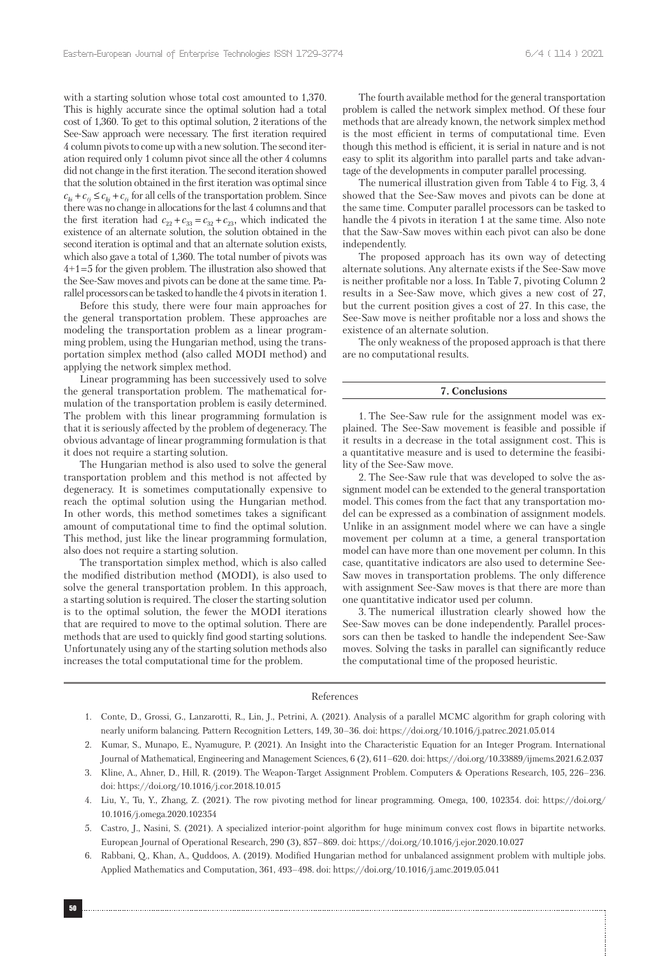with a starting solution whose total cost amounted to 1,370. This is highly accurate since the optimal solution had a total cost of 1,360. To get to this optimal solution, 2 iterations of the See-Saw approach were necessary. The first iteration required 4 column pivots to come up with a new solution. The second iteration required only 1 column pivot since all the other 4 columns did not change in the first iteration. The second iteration showed that the solution obtained in the first iteration was optimal since  $c_{ki} + c_{ij} \leq c_{ki} + c_{ij}$  for all cells of the transportation problem. Since there was no change in allocations for the last 4 columns and that the first iteration had  $c_{22}+c_{33}=c_{32}+c_{23},$  which indicated the existence of an alternate solution, the solution obtained in the second iteration is optimal and that an alternate solution exists, which also gave a total of 1,360. The total number of pivots was 4+1 = 5 for the given problem. The illustration also showed that the See-Saw moves and pivots can be done at the same time. Parallel processors can be tasked to handle the 4 pivots in iteration 1.

Before this study, there were four main approaches for the general transportation problem. These approaches are modeling the transportation problem as a linear programming problem, using the Hungarian method, using the transportation simplex method (also called MODI method) and applying the network simplex method.

Linear programming has been successively used to solve the general transportation problem. The mathematical formulation of the transportation problem is easily determined. The problem with this linear programming formulation is that it is seriously affected by the problem of degeneracy. The obvious advantage of linear programming formulation is that it does not require a starting solution.

The Hungarian method is also used to solve the general transportation problem and this method is not affected by degeneracy. It is sometimes computationally expensive to reach the optimal solution using the Hungarian method. In other words, this method sometimes takes a significant amount of computational time to find the optimal solution. This method, just like the linear programming formulation, also does not require a starting solution.

The transportation simplex method, which is also called the modified distribution method (MODI), is also used to solve the general transportation problem. In this approach, a starting solution is required. The closer the starting solution is to the optimal solution, the fewer the MODI iterations that are required to move to the optimal solution. There are methods that are used to quickly find good starting solutions. Unfortunately using any of the starting solution methods also increases the total computational time for the problem.

The fourth available method for the general transportation problem is called the network simplex method. Of these four methods that are already known, the network simplex method is the most efficient in terms of computational time. Even though this method is efficient, it is serial in nature and is not easy to split its algorithm into parallel parts and take advantage of the developments in computer parallel processing.

The numerical illustration given from Table 4 to Fig. 3, 4 showed that the See-Saw moves and pivots can be done at the same time. Computer parallel processors can be tasked to handle the 4 pivots in iteration 1 at the same time. Also note that the Saw-Saw moves within each pivot can also be done independently.

The proposed approach has its own way of detecting alternate solutions. Any alternate exists if the See-Saw move is neither profitable nor a loss. In Table 7, pivoting Column 2 results in a See-Saw move, which gives a new cost of 27, but the current position gives a cost of 27. In this case, the See-Saw move is neither profitable nor a loss and shows the existence of an alternate solution.

The only weakness of the proposed approach is that there are no computational results.

#### **7. Conclusions**

1. The See-Saw rule for the assignment model was explained. The See-Saw movement is feasible and possible if it results in a decrease in the total assignment cost. This is a quantitative measure and is used to determine the feasibility of the See-Saw move.

2. The See-Saw rule that was developed to solve the assignment model can be extended to the general transportation model. This comes from the fact that any transportation model can be expressed as a combination of assignment models. Unlike in an assignment model where we can have a single movement per column at a time, a general transportation model can have more than one movement per column. In this case, quantitative indicators are also used to determine See-Saw moves in transportation problems. The only difference with assignment See-Saw moves is that there are more than one quantitative indicator used per column.

3. The numerical illustration clearly showed how the See-Saw moves can be done independently. Parallel processors can then be tasked to handle the independent See-Saw moves. Solving the tasks in parallel can significantly reduce the computational time of the proposed heuristic.

#### References

- 1. Conte, D., Grossi, G., Lanzarotti, R., Lin, J., Petrini, A. (2021). Analysis of a parallel MCMC algorithm for graph coloring with nearly uniform balancing. Pattern Recognition Letters, 149, 30–36. doi: https://doi.org/10.1016/j.patrec.2021.05.014
- 2. Kumar, S., Munapo, E., Nyamugure, P. (2021). An Insight into the Characteristic Equation for an Integer Program. International Journal of Mathematical, Engineering and Management Sciences, 6 (2), 611–620. doi: https://doi.org/10.33889/ijmems.2021.6.2.037
- 3. Kline, A., Ahner, D., Hill, R. (2019). The Weapon-Target Assignment Problem. Computers & Operations Research, 105, 226–236. doi: https://doi.org/10.1016/j.cor.2018.10.015
- 4. Liu, Y., Tu, Y., Zhang, Z. (2021). The row pivoting method for linear programming. Omega, 100, 102354. doi: https://doi.org/ 10.1016/j.omega.2020.102354
- 5. Castro, J., Nasini, S. (2021). A specialized interior-point algorithm for huge minimum convex cost flows in bipartite networks. European Journal of Operational Research, 290 (3), 857–869. doi: https://doi.org/10.1016/j.ejor.2020.10.027
- 6. Rabbani, Q., Khan, A., Quddoos, A. (2019). Modified Hungarian method for unbalanced assignment problem with multiple jobs. Applied Mathematics and Computation, 361, 493–498. doi: https://doi.org/10.1016/j.amc.2019.05.041